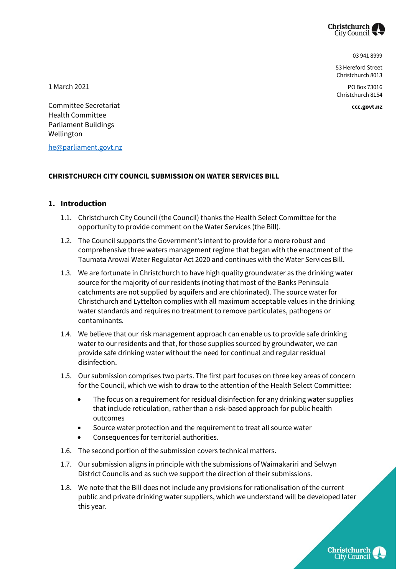

03 941 8999

53 Hereford Street Christchurch 8013

PO Box 73016 Christchurch 8154

**ccc.govt.nz**

1 March 2021

Committee Secretariat Health Committee Parliament Buildings Wellington

[he@parliament.govt.nz](mailto:he@parliament.govt.nz)

#### **CHRISTCHURCH CITY COUNCIL SUBMISSION ON WATER SERVICES BILL**

#### **1. Introduction**

- 1.1. Christchurch City Council (the Council) thanks the Health Select Committee for the opportunity to provide comment on the Water Services (the Bill).
- 1.2. The Council supports the Government's intent to provide for a more robust and comprehensive three waters management regime that began with the enactment of the Taumata Arowai Water Regulator Act 2020 and continues with the Water Services Bill.
- 1.3. We are fortunate in Christchurch to have high quality groundwater as the drinking water source for the majority of our residents (noting that most of the Banks Peninsula catchments are not supplied by aquifers and are chlorinated). The source water for Christchurch and Lyttelton complies with all maximum acceptable values in the drinking water standards and requires no treatment to remove particulates, pathogens or contaminants.
- 1.4. We believe that our risk management approach can enable us to provide safe drinking water to our residents and that, for those supplies sourced by groundwater, we can provide safe drinking water without the need for continual and regular residual disinfection.
- 1.5. Our submission comprises two parts. The first part focuses on three key areas of concern for the Council, which we wish to draw to the attention of the Health Select Committee:
	- The focus on a requirement for residual disinfection for any drinking water supplies that include reticulation, rather than a risk-based approach for public health outcomes
	- Source water protection and the requirement to treat all source water
	- Consequences for territorial authorities.
- 1.6. The second portion of the submission covers technical matters.
- 1.7. Our submission aligns in principle with the submissions of Waimakariri and Selwyn District Councils and as such we support the direction of their submissions.
- 1.8. We note that the Bill does not include any provisions for rationalisation of the current public and private drinking water suppliers, which we understand will be developed later this year.

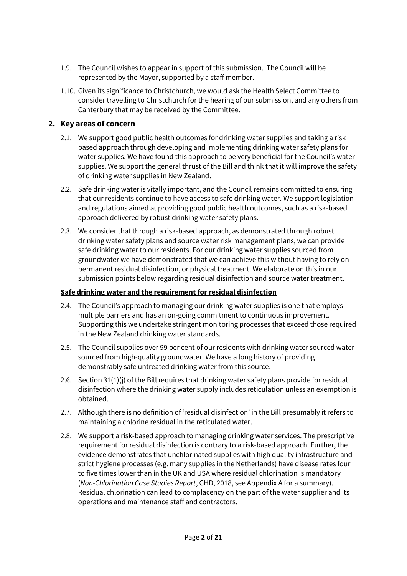- 1.9. The Council wishes to appear in support of this submission. The Council will be represented by the Mayor, supported by a staff member.
- 1.10. Given its significance to Christchurch, we would ask the Health Select Committee to consider travelling to Christchurch for the hearing of our submission, and any others from Canterbury that may be received by the Committee.

## **2. Key areas of concern**

- 2.1. We support good public health outcomes for drinking water supplies and taking a risk based approach through developing and implementing drinking water safety plans for water supplies. We have found this approach to be very beneficial for the Council's water supplies. We support the general thrust of the Bill and think that it will improve the safety of drinking water supplies in New Zealand.
- 2.2. Safe drinking water is vitally important, and the Council remains committed to ensuring that our residents continue to have access to safe drinking water. We support legislation and regulations aimed at providing good public health outcomes, such as a risk-based approach delivered by robust drinking water safety plans.
- 2.3. We consider that through a risk-based approach, as demonstrated through robust drinking water safety plans and source water risk management plans, we can provide safe drinking water to our residents. For our drinking water supplies sourced from groundwater we have demonstrated that we can achieve this without having to rely on permanent residual disinfection, or physical treatment. We elaborate on this in our submission points below regarding residual disinfection and source water treatment.

## **Safe drinking water and the requirement for residual disinfection**

- 2.4. The Council's approach to managing our drinking water supplies is one that employs multiple barriers and has an on-going commitment to continuous improvement. Supporting this we undertake stringent monitoring processes that exceed those required in the New Zealand drinking water standards.
- 2.5. The Council supplies over 99 per cent of our residents with drinking water sourced water sourced from high-quality groundwater. We have a long history of providing demonstrably safe untreated drinking water from this source.
- 2.6. Section 31(1)(j) of the Bill requires that drinking water safety plans provide for residual disinfection where the drinking water supply includes reticulation unless an exemption is obtained.
- 2.7. Although there is no definition of 'residual disinfection' in the Bill presumably it refers to maintaining a chlorine residual in the reticulated water.
- 2.8. We support a risk-based approach to managing drinking water services. The prescriptive requirement for residual disinfection is contrary to a risk-based approach. Further, the evidence demonstrates that unchlorinated supplies with high quality infrastructure and strict hygiene processes (e.g. many supplies in the Netherlands) have disease rates four to five times lower than in the UK and USA where residual chlorination is mandatory (*Non-Chlorination Case Studies Report*, GHD, 2018, see Appendix A for a summary). Residual chlorination can lead to complacency on the part of the water supplier and its operations and maintenance staff and contractors.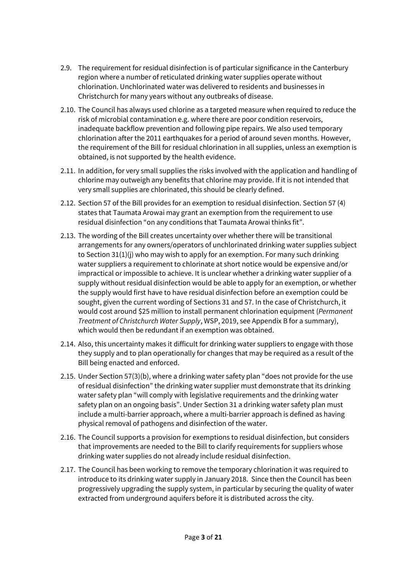- 2.9. The requirement for residual disinfection is of particular significance in the Canterbury region where a number of reticulated drinking water supplies operate without chlorination. Unchlorinated water was delivered to residents and businesses in Christchurch for many years without any outbreaks of disease.
- 2.10. The Council has always used chlorine as a targeted measure when required to reduce the risk of microbial contamination e.g. where there are poor condition reservoirs, inadequate backflow prevention and following pipe repairs. We also used temporary chlorination after the 2011 earthquakes for a period of around seven months. However, the requirement of the Bill for residual chlorination in all supplies, unless an exemption is obtained, is not supported by the health evidence.
- 2.11. In addition, for very small supplies the risks involved with the application and handling of chlorine may outweigh any benefits that chlorine may provide. If it is not intended that very small supplies are chlorinated, this should be clearly defined.
- 2.12. Section 57 of the Bill provides for an exemption to residual disinfection. Section 57 (4) states that Taumata Arowai may grant an exemption from the requirement to use residual disinfection "on any conditions that Taumata Arowai thinks fit".
- 2.13. The wording of the Bill creates uncertainty over whether there will be transitional arrangements for any owners/operators of unchlorinated drinking water supplies subject to Section 31(1)(j) who may wish to apply for an exemption. For many such drinking water suppliers a requirement to chlorinate at short notice would be expensive and/or impractical or impossible to achieve. It is unclear whether a drinking water supplier of a supply without residual disinfection would be able to apply for an exemption, or whether the supply would first have to have residual disinfection before an exemption could be sought, given the current wording of Sections 31 and 57. In the case of Christchurch, it would cost around \$25 million to install permanent chlorination equipment (*Permanent Treatment of Christchurch Water Supply*, WSP, 2019, see Appendix B for a summary), which would then be redundant if an exemption was obtained.
- 2.14. Also, this uncertainty makes it difficult for drinking water suppliers to engage with those they supply and to plan operationally for changes that may be required as a result of the Bill being enacted and enforced.
- 2.15. Under Section 57(3)(b), where a drinking water safety plan "does not provide for the use of residual disinfection" the drinking water supplier must demonstrate that its drinking water safety plan "will comply with legislative requirements and the drinking water safety plan on an ongoing basis". Under Section 31 a drinking water safety plan must include a multi-barrier approach, where a multi-barrier approach is defined as having physical removal of pathogens and disinfection of the water.
- 2.16. The Council supports a provision for exemptions to residual disinfection, but considers that improvements are needed to the Bill to clarify requirements for suppliers whose drinking water supplies do not already include residual disinfection.
- 2.17. The Council has been working to remove the temporary chlorination it was required to introduce to its drinking water supply in January 2018. Since then the Council has been progressively upgrading the supply system, in particular by securing the quality of water extracted from underground aquifers before it is distributed across the city.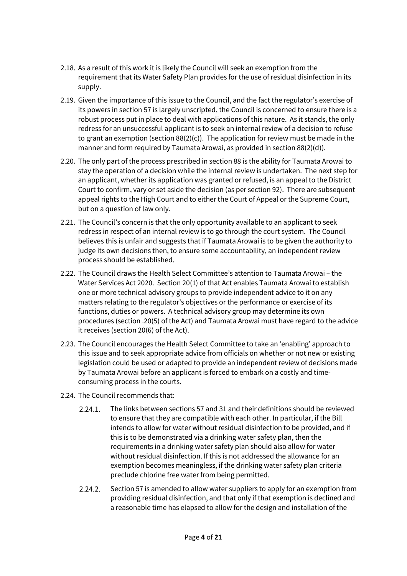- 2.18. As a result of this work it is likely the Council will seek an exemption from the requirement that its Water Safety Plan provides for the use of residual disinfection in its supply.
- 2.19. Given the importance of this issue to the Council, and the fact the regulator's exercise of its powers in section 57 is largely unscripted, the Council is concerned to ensure there is a robust process put in place to deal with applications of this nature. As it stands, the only redress for an unsuccessful applicant is to seek an internal review of a decision to refuse to grant an exemption (section  $88(2)(c)$ ). The application for review must be made in the manner and form required by Taumata Arowai, as provided in section 88(2)(d)).
- 2.20. The only part of the process prescribed in section 88 is the ability for Taumata Arowai to stay the operation of a decision while the internal review is undertaken. The next step for an applicant, whether its application was granted or refused, is an appeal to the District Court to confirm, vary or set aside the decision (as per section 92). There are subsequent appeal rights to the High Court and to either the Court of Appeal or the Supreme Court, but on a question of law only.
- 2.21. The Council's concern is that the only opportunity available to an applicant to seek redress in respect of an internal review is to go through the court system. The Council believes this is unfair and suggests that if Taumata Arowai is to be given the authority to judge its own decisions then, to ensure some accountability, an independent review process should be established.
- 2.22. The Council draws the Health Select Committee's attention to Taumata Arowai the Water Services Act 2020. Section 20(1) of that Act enables Taumata Arowai to establish one or more technical advisory groups to provide independent advice to it on any matters relating to the regulator's objectives or the performance or exercise of its functions, duties or powers. A technical advisory group may determine its own procedures (section .20(5) of the Act) and Taumata Arowai must have regard to the advice it receives (section 20(6) of the Act).
- 2.23. The Council encourages the Health Select Committee to take an 'enabling' approach to this issue and to seek appropriate advice from officials on whether or not new or existing legislation could be used or adapted to provide an independent review of decisions made by Taumata Arowai before an applicant is forced to embark on a costly and timeconsuming process in the courts.
- 2.24. The Council recommends that:
	- The links between sections 57 and 31 and their definitions should be reviewed  $2.24.1.$ to ensure that they are compatible with each other. In particular, if the Bill intends to allow for water without residual disinfection to be provided, and if this is to be demonstrated via a drinking water safety plan, then the requirements in a drinking water safety plan should also allow for water without residual disinfection. If this is not addressed the allowance for an exemption becomes meaningless, if the drinking water safety plan criteria preclude chlorine free water from being permitted.
	- $2.24.2.$ Section 57 is amended to allow water suppliers to apply for an exemption from providing residual disinfection, and that only if that exemption is declined and a reasonable time has elapsed to allow for the design and installation of the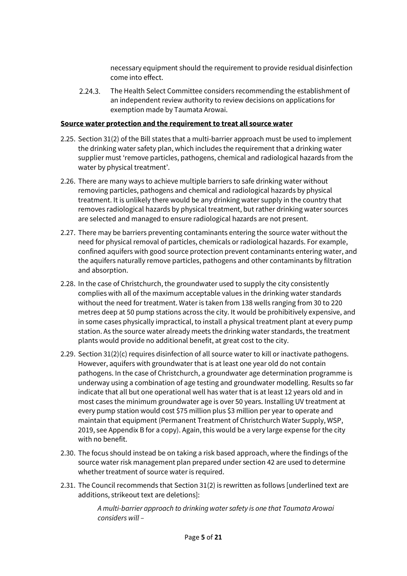necessary equipment should the requirement to provide residual disinfection come into effect.

The Health Select Committee considers recommending the establishment of  $2.24.3.$ an independent review authority to review decisions on applications for exemption made by Taumata Arowai.

#### **Source water protection and the requirement to treat all source water**

- 2.25. Section 31(2) of the Bill states that a multi-barrier approach must be used to implement the drinking water safety plan, which includes the requirement that a drinking water supplier must 'remove particles, pathogens, chemical and radiological hazards from the water by physical treatment'.
- 2.26. There are many ways to achieve multiple barriers to safe drinking water without removing particles, pathogens and chemical and radiological hazards by physical treatment. It is unlikely there would be any drinking water supply in the country that removes radiological hazards by physical treatment, but rather drinking water sources are selected and managed to ensure radiological hazards are not present.
- 2.27. There may be barriers preventing contaminants entering the source water without the need for physical removal of particles, chemicals or radiological hazards. For example, confined aquifers with good source protection prevent contaminants entering water, and the aquifers naturally remove particles, pathogens and other contaminants by filtration and absorption.
- 2.28. In the case of Christchurch, the groundwater used to supply the city consistently complies with all of the maximum acceptable values in the drinking water standards without the need for treatment. Water is taken from 138 wells ranging from 30 to 220 metres deep at 50 pump stations across the city. It would be prohibitively expensive, and in some cases physically impractical, to install a physical treatment plant at every pump station. As the source water already meets the drinking water standards, the treatment plants would provide no additional benefit, at great cost to the city.
- 2.29. Section 31(2)(c) requires disinfection of all source water to kill or inactivate pathogens. However, aquifers with groundwater that is at least one year old do not contain pathogens. In the case of Christchurch, a groundwater age determination programme is underway using a combination of age testing and groundwater modelling. Results so far indicate that all but one operational well has water that is at least 12 years old and in most cases the minimum groundwater age is over 50 years. Installing UV treatment at every pump station would cost \$75 million plus \$3 million per year to operate and maintain that equipment (Permanent Treatment of Christchurch Water Supply, WSP, 2019, see Appendix B for a copy). Again, this would be a very large expense for the city with no benefit.
- 2.30. The focus should instead be on taking a risk based approach, where the findings of the source water risk management plan prepared under section 42 are used to determine whether treatment of source water is required.
- 2.31. The Council recommends that Section 31(2) is rewritten as follows [underlined text are additions, strikeout text are deletions]:

*A multi-barrier approach to drinking water safety is one that Taumata Arowai considers will –*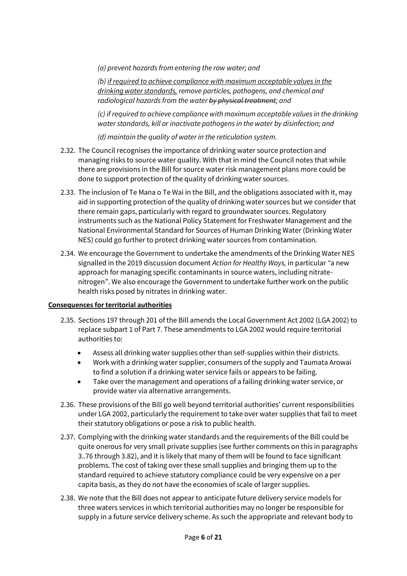*(a) prevent hazards from entering the raw water; and*

*(b) if required to achieve compliance with maximum acceptable values in the drinking water standards, remove particles, pathogens, and chemical and radiological hazards from the water by physical treatment; and*

*(c) if required to achieve compliance with maximum acceptable values in the drinking water standards, kill or inactivate pathogens in the water by disinfection; and*

*(d) maintain the quality of water in the reticulation system.*

- 2.32. The Council recognises the importance of drinking water source protection and managing risks to source water quality. With that in mind the Council notes that while there are provisions in the Bill for source water risk management plans more could be done to support protection of the quality of drinking water sources.
- 2.33. The inclusion of Te Mana o Te Wai in the Bill, and the obligations associated with it, may aid in supporting protection of the quality of drinking water sources but we consider that there remain gaps, particularly with regard to groundwater sources. Regulatory instruments such as the National Policy Statement for Freshwater Management and the National Environmental Standard for Sources of Human Drinking Water (Drinking Water NES) could go further to protect drinking water sources from contamination.
- 2.34. We encourage the Government to undertake the amendments of the Drinking Water NES signalled in the 2019 discussion document *Action for Healthy Ways,* in particular *"*a new approach for managing specific contaminants in source waters, including nitratenitrogen". We also encourage the Government to undertake further work on the public health risks posed by nitrates in drinking water.

## **Consequences for territorial authorities**

- 2.35. Sections 197 through 201 of the Bill amends the Local Government Act 2002 (LGA 2002) to replace subpart 1 of Part 7. These amendments to LGA 2002 would require territorial authorities to:
	- Assess all drinking water supplies other than self-supplies within their districts.
	- Work with a drinking water supplier, consumers of the supply and Taumata Arowai to find a solution if a drinking water service fails or appears to be failing.
	- Take over the management and operations of a failing drinking water service, or provide water via alternative arrangements.
- 2.36. These provisions of the Bill go well beyond territorial authorities' current responsibilities under LGA 2002, particularly the requirement to take over water supplies that fail to meet their statutory obligations or pose a risk to public health.
- 2.37. Complying with the drinking water standards and the requirements of the Bill could be quite onerous for very small private supplies (see further comments on this in paragraphs 3..76 through 3.82), and it is likely that many of them will be found to face significant problems. The cost of taking over these small supplies and bringing them up to the standard required to achieve statutory compliance could be very expensive on a per capita basis, as they do not have the economies of scale of larger supplies.
- 2.38. We note that the Bill does not appear to anticipate future delivery service models for three waters services in which territorial authorities may no longer be responsible for supply in a future service delivery scheme. As such the appropriate and relevant body to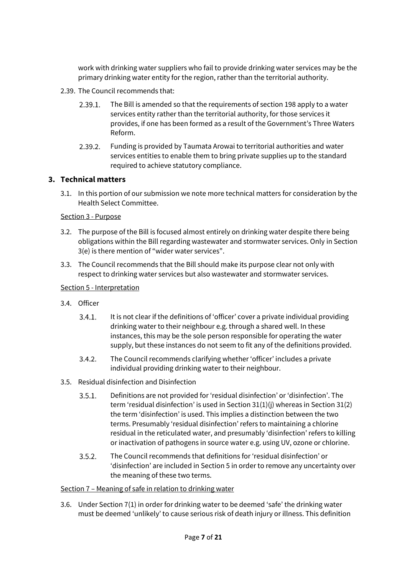work with drinking water suppliers who fail to provide drinking water services may be the primary drinking water entity for the region, rather than the territorial authority.

- 2.39. The Council recommends that:
	- $2.39.1.$ The Bill is amended so that the requirements of section 198 apply to a water services entity rather than the territorial authority, for those services it provides, if one has been formed as a result of the Government's Three Waters Reform.
	- Funding is provided by Taumata Arowai to territorial authorities and water  $2.39.2.$ services entities to enable them to bring private supplies up to the standard required to achieve statutory compliance.

## **3. Technical matters**

3.1. In this portion of our submission we note more technical matters for consideration by the Health Select Committee.

## Section 3 - Purpose

- 3.2. The purpose of the Bill is focused almost entirely on drinking water despite there being obligations within the Bill regarding wastewater and stormwater services. Only in Section 3(e) is there mention of "wider water services".
- 3.3. The Council recommends that the Bill should make its purpose clear not only with respect to drinking water services but also wastewater and stormwater services.

#### Section 5 - Interpretation

- 3.4. Officer
	- $3.4.1.$ It is not clear if the definitions of 'officer' cover a private individual providing drinking water to their neighbour e.g. through a shared well. In these instances, this may be the sole person responsible for operating the water supply, but these instances do not seem to fit any of the definitions provided.
	- $3.4.2.$ The Council recommends clarifying whether 'officer' includes a private individual providing drinking water to their neighbour.
- 3.5. Residual disinfection and Disinfection
	- $3.5.1.$ Definitions are not provided for 'residual disinfection' or 'disinfection'. The term 'residual disinfection' is used in Section 31(1)(j) whereas in Section 31(2) the term 'disinfection' is used. This implies a distinction between the two terms. Presumably 'residual disinfection' refers to maintaining a chlorine residual in the reticulated water, and presumably 'disinfection' refers to killing or inactivation of pathogens in source water e.g. using UV, ozone or chlorine.
	- $3.5.2.$ The Council recommends that definitions for 'residual disinfection' or 'disinfection' are included in Section 5 in order to remove any uncertainty over the meaning of these two terms.

#### Section 7 – Meaning of safe in relation to drinking water

3.6. Under Section 7(1) in order for drinking water to be deemed 'safe' the drinking water must be deemed 'unlikely' to cause serious risk of death injury or illness. This definition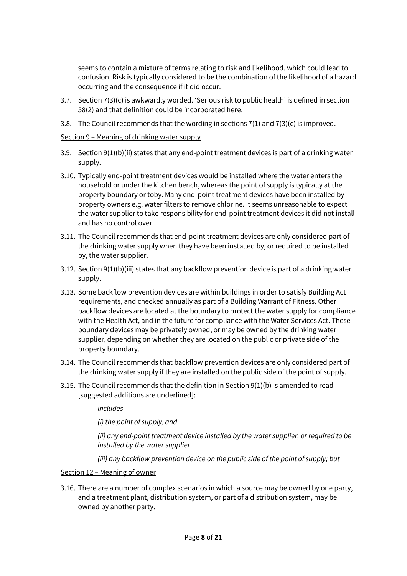seems to contain a mixture of terms relating to risk and likelihood, which could lead to confusion. Risk is typically considered to be the combination of the likelihood of a hazard occurring and the consequence if it did occur.

- 3.7. Section 7(3)(c) is awkwardly worded. 'Serious risk to public health' is defined in section 58(2) and that definition could be incorporated here.
- 3.8. The Council recommends that the wording in sections  $7(1)$  and  $7(3)(c)$  is improved.

#### Section 9 – Meaning of drinking water supply

- 3.9. Section 9(1)(b)(ii) states that any end-point treatment devices is part of a drinking water supply.
- 3.10. Typically end-point treatment devices would be installed where the water enters the household or under the kitchen bench, whereas the point of supply is typically at the property boundary or toby. Many end-point treatment devices have been installed by property owners e.g. water filters to remove chlorine. It seems unreasonable to expect the water supplier to take responsibility for end-point treatment devices it did not install and has no control over.
- 3.11. The Council recommends that end-point treatment devices are only considered part of the drinking water supply when they have been installed by, or required to be installed by, the water supplier.
- 3.12. Section 9(1)(b)(iii) states that any backflow prevention device is part of a drinking water supply.
- 3.13. Some backflow prevention devices are within buildings in order to satisfy Building Act requirements, and checked annually as part of a Building Warrant of Fitness. Other backflow devices are located at the boundary to protect the water supply for compliance with the Health Act, and in the future for compliance with the Water Services Act. These boundary devices may be privately owned, or may be owned by the drinking water supplier, depending on whether they are located on the public or private side of the property boundary.
- 3.14. The Council recommends that backflow prevention devices are only considered part of the drinking water supply if they are installed on the public side of the point of supply.
- 3.15. The Council recommends that the definition in Section 9(1)(b) is amended to read [suggested additions are underlined]:

*includes –*

*(i) the point of supply; and*

*(ii) any end-point treatment device installed by the water supplier, or required to be installed by the water supplier*

*(iii) any backflow prevention device on the public side of the point of supply; but*

#### Section 12 – Meaning of owner

3.16. There are a number of complex scenarios in which a source may be owned by one party, and a treatment plant, distribution system, or part of a distribution system, may be owned by another party.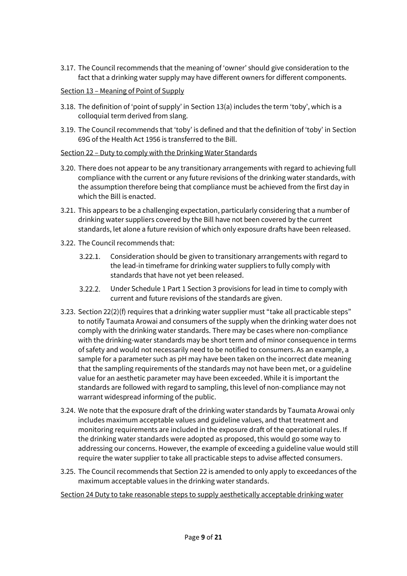3.17. The Council recommends that the meaning of 'owner' should give consideration to the fact that a drinking water supply may have different owners for different components.

## Section 13 – Meaning of Point of Supply

- 3.18. The definition of 'point of supply' in Section 13(a) includes the term 'toby', which is a colloquial term derived from slang.
- 3.19. The Council recommends that 'toby' is defined and that the definition of 'toby' in Section 69G of the Health Act 1956 is transferred to the Bill.

## Section 22 – Duty to comply with the Drinking Water Standards

- 3.20. There does not appear to be any transitionary arrangements with regard to achieving full compliance with the current or any future revisions of the drinking water standards, with the assumption therefore being that compliance must be achieved from the first day in which the Bill is enacted.
- 3.21. This appears to be a challenging expectation, particularly considering that a number of drinking water suppliers covered by the Bill have not been covered by the current standards, let alone a future revision of which only exposure drafts have been released.
- 3.22. The Council recommends that:
	- $3.22.1.$ Consideration should be given to transitionary arrangements with regard to the lead-in timeframe for drinking water suppliers to fully comply with standards that have not yet been released.
	- $3.22.2.$ Under Schedule 1 Part 1 Section 3 provisions for lead in time to comply with current and future revisions of the standards are given.
- 3.23. Section 22(2)(f) requires that a drinking water supplier must "take all practicable steps" to notify Taumata Arowai and consumers of the supply when the drinking water does not comply with the drinking water standards. There may be cases where non-compliance with the drinking-water standards may be short term and of minor consequence in terms of safety and would not necessarily need to be notified to consumers. As an example, a sample for a parameter such as pH may have been taken on the incorrect date meaning that the sampling requirements of the standards may not have been met, or a guideline value for an aesthetic parameter may have been exceeded. While it is important the standards are followed with regard to sampling, this level of non-compliance may not warrant widespread informing of the public.
- 3.24. We note that the exposure draft of the drinking water standards by Taumata Arowai only includes maximum acceptable values and guideline values, and that treatment and monitoring requirements are included in the exposure draft of the operational rules. If the drinking water standards were adopted as proposed, this would go some way to addressing our concerns. However, the example of exceeding a guideline value would still require the water supplier to take all practicable steps to advise affected consumers.
- 3.25. The Council recommends that Section 22 is amended to only apply to exceedances of the maximum acceptable values in the drinking water standards.

Section 24 Duty to take reasonable steps to supply aesthetically acceptable drinking water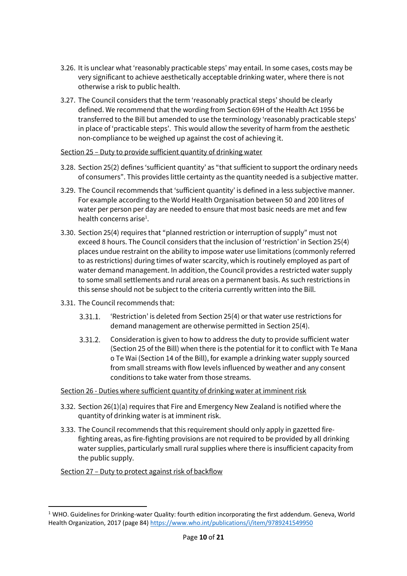- 3.26. It is unclear what 'reasonably practicable steps' may entail. In some cases, costs may be very significant to achieve aesthetically acceptable drinking water, where there is not otherwise a risk to public health.
- 3.27. The Council considers that the term 'reasonably practical steps' should be clearly defined. We recommend that the wording from Section 69H of the Health Act 1956 be transferred to the Bill but amended to use the terminology 'reasonably practicable steps' in place of 'practicable steps'. This would allow the severity of harm from the aesthetic non-compliance to be weighed up against the cost of achieving it.

## Section 25 – Duty to provide sufficient quantity of drinking water

- 3.28. Section 25(2) defines 'sufficient quantity' as "that sufficient to support the ordinary needs of consumers". This provides little certainty as the quantity needed is a subjective matter.
- 3.29. The Council recommends that 'sufficient quantity' is defined in a less subjective manner. For example according to the World Health Organisation between 50 and 200 litres of water per person per day are needed to ensure that most basic needs are met and few health concerns arise<sup>1</sup>.
- 3.30. Section 25(4) requires that "planned restriction or interruption of supply" must not exceed 8 hours. The Council considers that the inclusion of 'restriction' in Section 25(4) places undue restraint on the ability to impose water use limitations (commonly referred to as restrictions) during times of water scarcity, which is routinely employed as part of water demand management. In addition, the Council provides a restricted water supply to some small settlements and rural areas on a permanent basis. As such restrictions in this sense should not be subject to the criteria currently written into the Bill.
- 3.31. The Council recommends that:
	- $3.31.1.$ 'Restriction' is deleted from Section 25(4) or that water use restrictions for demand management are otherwise permitted in Section 25(4).
	- $3.31.2.$ Consideration is given to how to address the duty to provide sufficient water (Section 25 of the Bill) when there is the potential for it to conflict with Te Mana o Te Wai (Section 14 of the Bill), for example a drinking water supply sourced from small streams with flow levels influenced by weather and any consent conditions to take water from those streams.

#### Section 26 - Duties where sufficient quantity of drinking water at imminent risk

- 3.32. Section 26(1)(a) requires that Fire and Emergency New Zealand is notified where the quantity of drinking water is at imminent risk.
- 3.33. The Council recommends that this requirement should only apply in gazetted firefighting areas, as fire-fighting provisions are not required to be provided by all drinking water supplies, particularly small rural supplies where there is insufficient capacity from the public supply.

## Section 27 – Duty to protect against risk of backflow

**.** 

 $1$  WHO. Guidelines for Drinking-water Quality: fourth edition incorporating the first addendum. Geneva, World Health Organization, 2017 (page 84)<https://www.who.int/publications/i/item/9789241549950>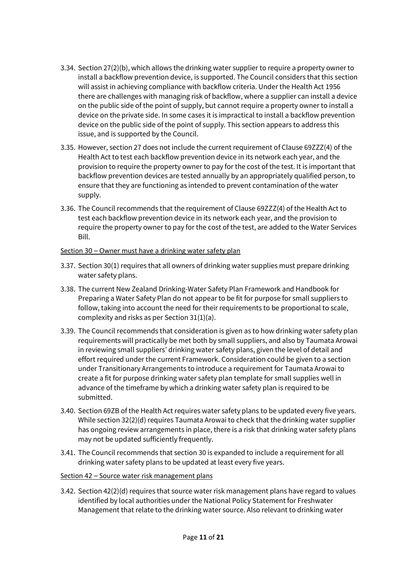- 3.34. Section 27(2)(b), which allows the drinking water supplier to require a property owner to install a backflow prevention device, is supported. The Council considers that this section will assist in achieving compliance with backflow criteria. Under the Health Act 1956 there are challenges with managing risk of backflow, where a supplier can install a device on the public side of the point of supply, but cannot require a property owner to install a device on the private side. In some cases it is impractical to install a backflow prevention device on the public side of the point of supply. This section appears to address this issue, and is supported by the Council.
- 3.35. However, section 27 does not include the current requirement of Clause 69ZZZ(4) of the Health Act to test each backflow prevention device in its network each year, and the provision to require the property owner to pay for the cost of the test. It is important that backflow prevention devices are tested annually by an appropriately qualified person, to ensure that they are functioning as intended to prevent contamination of the water supply.
- 3.36. The Council recommends that the requirement of Clause 69ZZZ(4) of the Health Act to test each backflow prevention device in its network each year, and the provision to require the property owner to pay for the cost of the test, are added to the Water Services Bill.

## Section 30 – Owner must have a drinking water safety plan

- 3.37. Section 30(1) requires that all owners of drinking water supplies must prepare drinking water safety plans.
- 3.38. The current New Zealand Drinking-Water Safety Plan Framework and Handbook for Preparing a Water Safety Plan do not appear to be fit for purpose for small suppliers to follow, taking into account the need for their requirements to be proportional to scale, complexity and risks as per Section 31(1)(a).
- 3.39. The Council recommends that consideration is given as to how drinking water safety plan requirements will practically be met both by small suppliers, and also by Taumata Arowai in reviewing small suppliers' drinking water safety plans, given the level of detail and effort required under the current Framework. Consideration could be given to a section under Transitionary Arrangements to introduce a requirement for Taumata Arowai to create a fit for purpose drinking water safety plan template for small supplies well in advance of the timeframe by which a drinking water safety plan is required to be submitted.
- 3.40. Section 69ZB of the Health Act requires water safety plans to be updated every five years. While section 32(2)(d) requires Taumata Arowai to check that the drinking water supplier has ongoing review arrangements in place, there is a risk that drinking water safety plans may not be updated sufficiently frequently.
- 3.41. The Council recommends that section 30 is expanded to include a requirement for all drinking water safety plans to be updated at least every five years.

#### Section 42 – Source water risk management plans

3.42. Section 42(2)(d) requires that source water risk management plans have regard to values identified by local authorities under the National Policy Statement for Freshwater Management that relate to the drinking water source. Also relevant to drinking water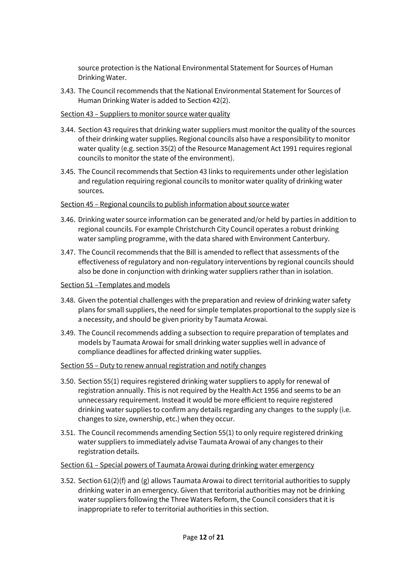source protection is the National Environmental Statement for Sources of Human Drinking Water.

3.43. The Council recommends that the National Environmental Statement for Sources of Human Drinking Water is added to Section 42(2).

#### Section 43 – Suppliers to monitor source water quality

- 3.44. Section 43 requires that drinking water suppliers must monitor the quality of the sources of their drinking water supplies. Regional councils also have a responsibility to monitor water quality (e.g. section 35(2) of the Resource Management Act 1991 requires regional councils to monitor the state of the environment).
- 3.45. The Council recommends that Section 43 links to requirements under other legislation and regulation requiring regional councils to monitor water quality of drinking water sources.

## Section 45 – Regional councils to publish information about source water

- 3.46. Drinking water source information can be generated and/or held by parties in addition to regional councils. For example Christchurch City Council operates a robust drinking water sampling programme, with the data shared with Environment Canterbury.
- 3.47. The Council recommends that the Bill is amended to reflect that assessments of the effectiveness of regulatory and non-regulatory interventions by regional councils should also be done in conjunction with drinking water suppliers rather than in isolation.

#### Section 51 –Templates and models

- 3.48. Given the potential challenges with the preparation and review of drinking water safety plans for small suppliers, the need for simple templates proportional to the supply size is a necessity, and should be given priority by Taumata Arowai.
- 3.49. The Council recommends adding a subsection to require preparation of templates and models by Taumata Arowai for small drinking water supplies well in advance of compliance deadlines for affected drinking water supplies.

#### Section 55 – Duty to renew annual registration and notify changes

- 3.50. Section 55(1) requires registered drinking water suppliers to apply for renewal of registration annually. This is not required by the Health Act 1956 and seems to be an unnecessary requirement. Instead it would be more efficient to require registered drinking water supplies to confirm any details regarding any changes to the supply (i.e. changes to size, ownership, etc.) when they occur.
- 3.51. The Council recommends amending Section 55(1) to only require registered drinking water suppliers to immediately advise Taumata Arowai of any changes to their registration details.

#### Section 61 – Special powers of Taumata Arowai during drinking water emergency

3.52. Section 61(2)(f) and (g) allows Taumata Arowai to direct territorial authorities to supply drinking water in an emergency. Given that territorial authorities may not be drinking water suppliers following the Three Waters Reform, the Council considers that it is inappropriate to refer to territorial authorities in this section.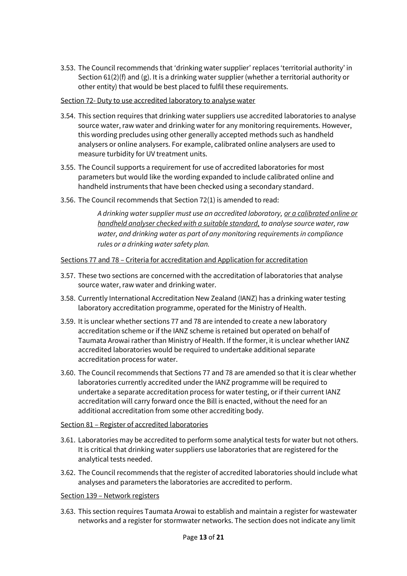3.53. The Council recommends that 'drinking water supplier' replaces 'territorial authority' in Section  $61(2)(f)$  and  $(g)$ . It is a drinking water supplier (whether a territorial authority or other entity) that would be best placed to fulfil these requirements.

#### Section 72- Duty to use accredited laboratory to analyse water

- 3.54. This section requires that drinking water suppliers use accredited laboratories to analyse source water, raw water and drinking water for any monitoring requirements. However, this wording precludes using other generally accepted methods such as handheld analysers or online analysers. For example, calibrated online analysers are used to measure turbidity for UV treatment units.
- 3.55. The Council supports a requirement for use of accredited laboratories for most parameters but would like the wording expanded to include calibrated online and handheld instruments that have been checked using a secondary standard.
- 3.56. The Council recommends that Section 72(1) is amended to read:

*A drinking water supplier must use an accredited laboratory, or a calibrated online or handheld analyser checked with a suitable standard, to analyse source water, raw water, and drinking water as part of any monitoring requirements in compliance rules or a drinking water safety plan.*

## Sections 77 and 78 – Criteria for accreditation and Application for accreditation

- 3.57. These two sections are concerned with the accreditation of laboratories that analyse source water, raw water and drinking water.
- 3.58. Currently International Accreditation New Zealand (IANZ) has a drinking water testing laboratory accreditation programme, operated for the Ministry of Health.
- 3.59. It is unclear whether sections 77 and 78 are intended to create a new laboratory accreditation scheme or if the IANZ scheme is retained but operated on behalf of Taumata Arowai rather than Ministry of Health. If the former, it is unclear whether IANZ accredited laboratories would be required to undertake additional separate accreditation process for water.
- 3.60. The Council recommends that Sections 77 and 78 are amended so that it is clear whether laboratories currently accredited under the IANZ programme will be required to undertake a separate accreditation process for water testing, or if their current IANZ accreditation will carry forward once the Bill is enacted, without the need for an additional accreditation from some other accrediting body.

#### Section 81 – Register of accredited laboratories

- 3.61. Laboratories may be accredited to perform some analytical tests for water but not others. It is critical that drinking water suppliers use laboratories that are registered for the analytical tests needed.
- 3.62. The Council recommends that the register of accredited laboratories should include what analyses and parameters the laboratories are accredited to perform.

#### Section 139 – Network registers

3.63. This section requires Taumata Arowai to establish and maintain a register for wastewater networks and a register for stormwater networks. The section does not indicate any limit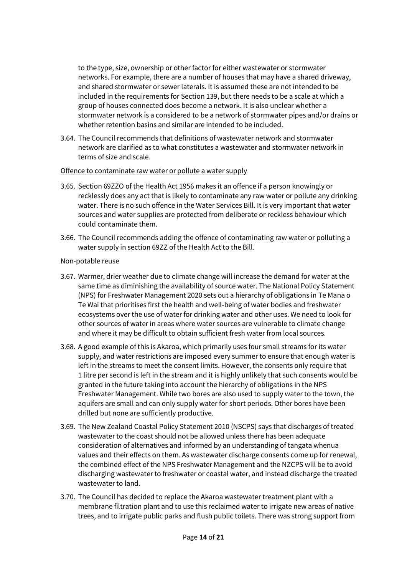to the type, size, ownership or other factor for either wastewater or stormwater networks. For example, there are a number of houses that may have a shared driveway, and shared stormwater or sewer laterals. It is assumed these are not intended to be included in the requirements for Section 139, but there needs to be a scale at which a group of houses connected does become a network. It is also unclear whether a stormwater network is a considered to be a network of stormwater pipes and/or drains or whether retention basins and similar are intended to be included.

3.64. The Council recommends that definitions of wastewater network and stormwater network are clarified as to what constitutes a wastewater and stormwater network in terms of size and scale.

#### Offence to contaminate raw water or pollute a water supply

- 3.65. Section 69ZZO of the Health Act 1956 makes it an offence if a person knowingly or recklessly does any act that is likely to contaminate any raw water or pollute any drinking water. There is no such offence in the Water Services Bill. It is very important that water sources and water supplies are protected from deliberate or reckless behaviour which could contaminate them.
- 3.66. The Council recommends adding the offence of contaminating raw water or polluting a water supply in section 69ZZ of the Health Act to the Bill.

#### Non-potable reuse

- 3.67. Warmer, drier weather due to climate change will increase the demand for water at the same time as diminishing the availability of source water. The National Policy Statement (NPS) for Freshwater Management 2020 sets out a hierarchy of obligations in Te Mana o Te Wai that prioritises first the health and well-being of water bodies and freshwater ecosystems over the use of water for drinking water and other uses. We need to look for other sources of water in areas where water sources are vulnerable to climate change and where it may be difficult to obtain sufficient fresh water from local sources.
- 3.68. A good example of this is Akaroa, which primarily uses four small streams for its water supply, and water restrictions are imposed every summer to ensure that enough water is left in the streams to meet the consent limits. However, the consents only require that 1 litre per second is left in the stream and it is highly unlikely that such consents would be granted in the future taking into account the hierarchy of obligations in the NPS Freshwater Management. While two bores are also used to supply water to the town, the aquifers are small and can only supply water for short periods. Other bores have been drilled but none are sufficiently productive.
- 3.69. The New Zealand Coastal Policy Statement 2010 (NSCPS) says that discharges of treated wastewater to the coast should not be allowed unless there has been adequate consideration of alternatives and informed by an understanding of tangata whenua values and their effects on them. As wastewater discharge consents come up for renewal, the combined effect of the NPS Freshwater Management and the NZCPS will be to avoid discharging wastewater to freshwater or coastal water, and instead discharge the treated wastewater to land.
- 3.70. The Council has decided to replace the Akaroa wastewater treatment plant with a membrane filtration plant and to use this reclaimed water to irrigate new areas of native trees, and to irrigate public parks and flush public toilets. There was strong support from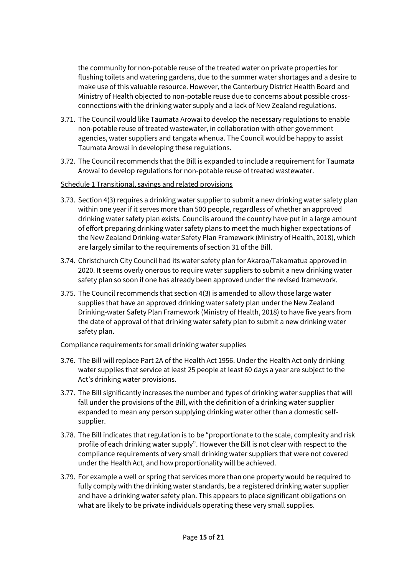the community for non-potable reuse of the treated water on private properties for flushing toilets and watering gardens, due to the summer water shortages and a desire to make use of this valuable resource. However, the Canterbury District Health Board and Ministry of Health objected to non-potable reuse due to concerns about possible crossconnections with the drinking water supply and a lack of New Zealand regulations.

- 3.71. The Council would like Taumata Arowai to develop the necessary regulations to enable non-potable reuse of treated wastewater, in collaboration with other government agencies, water suppliers and tangata whenua. The Council would be happy to assist Taumata Arowai in developing these regulations.
- 3.72. The Council recommends that the Bill is expanded to include a requirement for Taumata Arowai to develop regulations for non-potable reuse of treated wastewater.

## Schedule 1 Transitional, savings and related provisions

- 3.73. Section 4(3) requires a drinking water supplier to submit a new drinking water safety plan within one year if it serves more than 500 people, regardless of whether an approved drinking water safety plan exists. Councils around the country have put in a large amount of effort preparing drinking water safety plans to meet the much higher expectations of the New Zealand Drinking-water Safety Plan Framework (Ministry of Health, 2018), which are largely similar to the requirements of section 31 of the Bill.
- 3.74. Christchurch City Council had its water safety plan for Akaroa/Takamatua approved in 2020. It seems overly onerous to require water suppliers to submit a new drinking water safety plan so soon if one has already been approved under the revised framework.
- 3.75. The Council recommends that section 4(3) is amended to allow those large water supplies that have an approved drinking water safety plan under the New Zealand Drinking-water Safety Plan Framework (Ministry of Health, 2018) to have five years from the date of approval of that drinking water safety plan to submit a new drinking water safety plan.

#### Compliance requirements for small drinking water supplies

- 3.76. The Bill will replace Part 2A of the Health Act 1956. Under the Health Act only drinking water supplies that service at least 25 people at least 60 days a year are subject to the Act's drinking water provisions.
- 3.77. The Bill significantly increases the number and types of drinking water supplies that will fall under the provisions of the Bill, with the definition of a drinking water supplier expanded to mean any person supplying drinking water other than a domestic selfsupplier.
- 3.78. The Bill indicates that regulation is to be "proportionate to the scale, complexity and risk profile of each drinking water supply". However the Bill is not clear with respect to the compliance requirements of very small drinking water suppliers that were not covered under the Health Act, and how proportionality will be achieved.
- 3.79. For example a well or spring that services more than one property would be required to fully comply with the drinking water standards, be a registered drinking water supplier and have a drinking water safety plan. This appears to place significant obligations on what are likely to be private individuals operating these very small supplies.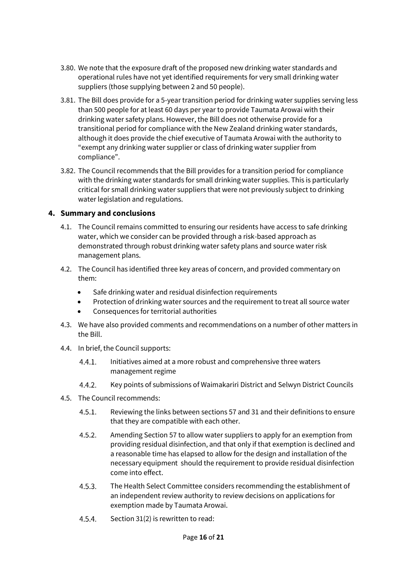- 3.80. We note that the exposure draft of the proposed new drinking water standards and operational rules have not yet identified requirements for very small drinking water suppliers (those supplying between 2 and 50 people).
- 3.81. The Bill does provide for a 5-year transition period for drinking water supplies serving less than 500 people for at least 60 days per year to provide Taumata Arowai with their drinking water safety plans. However, the Bill does not otherwise provide for a transitional period for compliance with the New Zealand drinking water standards, although it does provide the chief executive of Taumata Arowai with the authority to "exempt any drinking water supplier or class of drinking water supplier from compliance".
- 3.82. The Council recommends that the Bill provides for a transition period for compliance with the drinking water standards for small drinking water supplies. This is particularly critical for small drinking water suppliers that were not previously subject to drinking water legislation and regulations.

# **4. Summary and conclusions**

- 4.1. The Council remains committed to ensuring our residents have access to safe drinking water, which we consider can be provided through a risk-based approach as demonstrated through robust drinking water safety plans and source water risk management plans.
- 4.2. The Council has identified three key areas of concern, and provided commentary on them:
	- Safe drinking water and residual disinfection requirements
	- Protection of drinking water sources and the requirement to treat all source water
	- Consequences for territorial authorities
- 4.3. We have also provided comments and recommendations on a number of other matters in the Bill.
- 4.4. In brief, the Council supports:
	- $4.4.1.$ Initiatives aimed at a more robust and comprehensive three waters management regime
	- $4.4.2.$ Key points of submissions of Waimakariri District and Selwyn District Councils
- 4.5. The Council recommends:
	- $4.5.1.$ Reviewing the links between sections 57 and 31 and their definitions to ensure that they are compatible with each other.
	- $4.5.2.$ Amending Section 57 to allow water suppliers to apply for an exemption from providing residual disinfection, and that only if that exemption is declined and a reasonable time has elapsed to allow for the design and installation of the necessary equipment should the requirement to provide residual disinfection come into effect.
	- $4.5.3.$ The Health Select Committee considers recommending the establishment of an independent review authority to review decisions on applications for exemption made by Taumata Arowai.
	- $4.5.4.$ Section 31(2) is rewritten to read: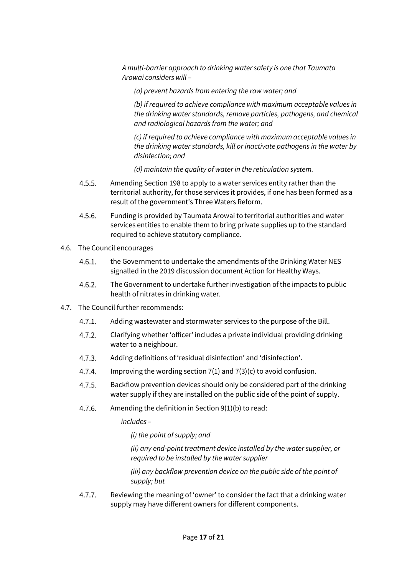*A multi-barrier approach to drinking water safety is one that Taumata Arowai considers will –* 

*(a) prevent hazards from entering the raw water; and*

*(b) if required to achieve compliance with maximum acceptable values in the drinking water standards, remove particles, pathogens, and chemical and radiological hazards from the water; and*

*(c) if required to achieve compliance with maximum acceptable values in the drinking water standards, kill or inactivate pathogens in the water by disinfection; and*

*(d) maintain the quality of water in the reticulation system.*

- $4.5.5.$ Amending Section 198 to apply to a water services entity rather than the territorial authority, for those services it provides, if one has been formed as a result of the government's Three Waters Reform.
- $4.5.6$ Funding is provided by Taumata Arowai to territorial authorities and water services entities to enable them to bring private supplies up to the standard required to achieve statutory compliance.
- 4.6. The Council encourages
	- the Government to undertake the amendments of the Drinking Water NES  $46.1$ signalled in the 2019 discussion document Action for Healthy Ways.
	- The Government to undertake further investigation of the impacts to public  $4.6.2.$ health of nitrates in drinking water.
- 4.7. The Council further recommends:
	- $4.7.1$ Adding wastewater and stormwater services to the purpose of the Bill.
	- $4.7.2.$ Clarifying whether 'officer' includes a private individual providing drinking water to a neighbour.
	- $4.7.3.$ Adding definitions of 'residual disinfection' and 'disinfection'.
	- $4.7.4.$ Improving the wording section 7(1) and 7(3)(c) to avoid confusion.
	- $4.7.5.$ Backflow prevention devices should only be considered part of the drinking water supply if they are installed on the public side of the point of supply.
	- 4.7.6. Amending the definition in Section 9(1)(b) to read:

*includes –*

*(i) the point of supply; and*

*(ii) any end-point treatment device installed by the water supplier, or required to be installed by the water supplier*

*(iii) any backflow prevention device on the public side of the point of supply; but*

 $4.7.7.$ Reviewing the meaning of 'owner' to consider the fact that a drinking water supply may have different owners for different components.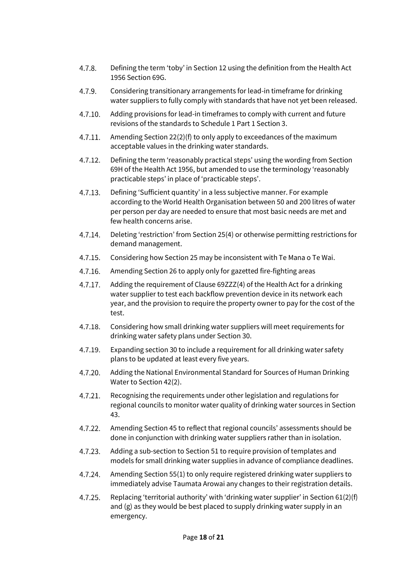- Defining the term 'toby' in Section 12 using the definition from the Health Act  $4.7.8.$ 1956 Section 69G.
- Considering transitionary arrangements for lead-in timeframe for drinking 4.7.9 water suppliers to fully comply with standards that have not yet been released.
- Adding provisions for lead-in timeframes to comply with current and future  $4.7.10.$ revisions of the standards to Schedule 1 Part 1 Section 3.
- 4.7.11 Amending Section 22(2)(f) to only apply to exceedances of the maximum acceptable values in the drinking water standards.
- $4.7.12.$ Defining the term 'reasonably practical steps' using the wording from Section 69H of the Health Act 1956, but amended to use the terminology 'reasonably practicable steps' in place of 'practicable steps'.
- 4.7.13 Defining 'Sufficient quantity' in a less subjective manner. For example according to the World Health Organisation between 50 and 200 litres of water per person per day are needed to ensure that most basic needs are met and few health concerns arise.
- $4.7.14.$ Deleting 'restriction' from Section 25(4) or otherwise permitting restrictions for demand management.
- $4.7.15.$ Considering how Section 25 may be inconsistent with Te Mana o Te Wai.
- $4.7.16.$ Amending Section 26 to apply only for gazetted fire-fighting areas
- $4.7.17.$ Adding the requirement of Clause 69ZZZ(4) of the Health Act for a drinking water supplier to test each backflow prevention device in its network each year, and the provision to require the property owner to pay for the cost of the test.
- 4.7.18. Considering how small drinking water suppliers will meet requirements for drinking water safety plans under Section 30.
- $4.7.19.$ Expanding section 30 to include a requirement for all drinking water safety plans to be updated at least every five years.
- $4.7.20.$ Adding the National Environmental Standard for Sources of Human Drinking Water to Section 42(2).
- $4.7.21.$ Recognising the requirements under other legislation and regulations for regional councils to monitor water quality of drinking water sources in Section 43.
- $4.7.22.$ Amending Section 45 to reflect that regional councils' assessments should be done in conjunction with drinking water suppliers rather than in isolation.
- $4.7.23.$ Adding a sub-section to Section 51 to require provision of templates and models for small drinking water supplies in advance of compliance deadlines.
- 4.7.24. Amending Section 55(1) to only require registered drinking water suppliers to immediately advise Taumata Arowai any changes to their registration details.
- $4.7.25.$ Replacing 'territorial authority' with 'drinking water supplier' in Section 61(2)(f) and (g) as they would be best placed to supply drinking water supply in an emergency.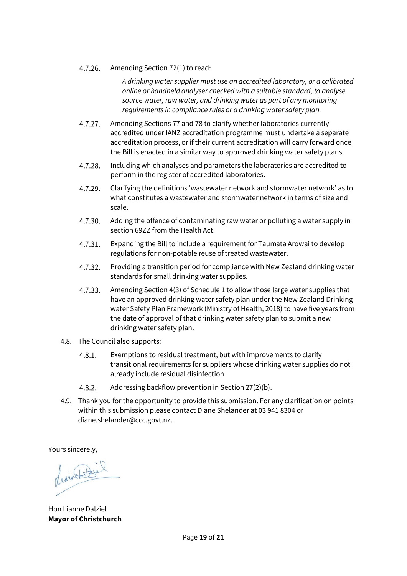#### $4.7.26.$ Amending Section 72(1) to read:

*A drinking water supplier must use an accredited laboratory, or a calibrated online or handheld analyser checked with a suitable standard, to analyse source water, raw water, and drinking water as part of any monitoring requirements in compliance rules or a drinking water safety plan.*

- $4.7.27.$ Amending Sections 77 and 78 to clarify whether laboratories currently accredited under IANZ accreditation programme must undertake a separate accreditation process, or if their current accreditation will carry forward once the Bill is enacted in a similar way to approved drinking water safety plans.
- 4.7.28. Including which analyses and parameters the laboratories are accredited to perform in the register of accredited laboratories.
- 4.7.29. Clarifying the definitions 'wastewater network and stormwater network' as to what constitutes a wastewater and stormwater network in terms of size and scale.
- 4.7.30. Adding the offence of contaminating raw water or polluting a water supply in section 69ZZ from the Health Act.
- 4.7.31. Expanding the Bill to include a requirement for Taumata Arowai to develop regulations for non-potable reuse of treated wastewater.
- Providing a transition period for compliance with New Zealand drinking water  $4.7.32.$ standards for small drinking water supplies.
- $4.7.33.$ Amending Section 4(3) of Schedule 1 to allow those large water supplies that have an approved drinking water safety plan under the New Zealand Drinkingwater Safety Plan Framework (Ministry of Health, 2018) to have five years from the date of approval of that drinking water safety plan to submit a new drinking water safety plan.
- 4.8. The Council also supports:
	- Exemptions to residual treatment, but with improvements to clarify  $4.8.1.$ transitional requirements for suppliers whose drinking water supplies do not already include residual disinfection
	- $4.8.2.$ Addressing backflow prevention in Section 27(2)(b).
- 4.9. Thank you for the opportunity to provide this submission. For any clarification on points within this submission please contact Diane Shelander at 03 941 8304 or diane.shelander@ccc.govt.nz.

Yours sincerely,

finished is

Hon Lianne Dalziel **Mayor of Christchurch**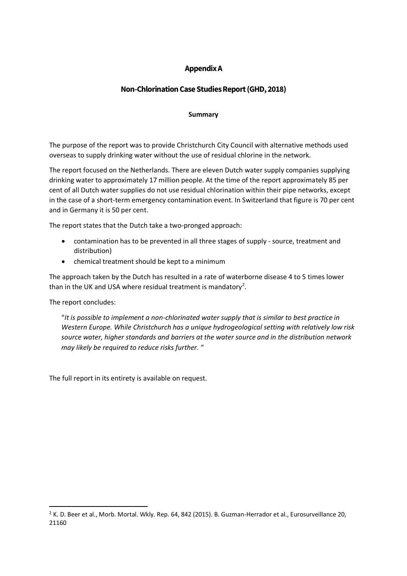# **Appendix A**

# **Non-Chlorination Case Studies Report (GHD, 2018)**

#### **Summary**

The purpose of the report was to provide Christchurch City Council with alternative methods used overseas to supply drinking water without the use of residual chlorine in the network.

The report focused on the Netherlands. There are eleven Dutch water supply companies supplying drinking water to approximately 17 million people. At the time of the report approximately 85 per cent of all Dutch water supplies do not use residual chlorination within their pipe networks, except in the case of a short-term emergency contamination event. In Switzerland that figure is 70 per cent and in Germany it is 50 per cent.

The report states that the Dutch take a two-pronged approach:

- contamination has to be prevented in all three stages of supply source, treatment and distribution)
- chemical treatment should be kept to a minimum

The approach taken by the Dutch has resulted in a rate of waterborne disease 4 to 5 times lower than in the UK and USA where residual treatment is mandatory<sup>2</sup>.

The report concludes:

**.** 

"*It is possible to implement a non-chlorinated water supply that is similar to best practice in Western Europe. While Christchurch has a unique hydrogeological setting with relatively low risk source water, higher standards and barriers at the water source and in the distribution network may likely be required to reduce risks further.* "

The full report in its entirety is available on request.

<sup>&</sup>lt;sup>2</sup> K. D. Beer et al., Morb. Mortal. Wkly. Rep. 64, 842 (2015). B. Guzman-Herrador et al., Eurosurveillance 20, 21160